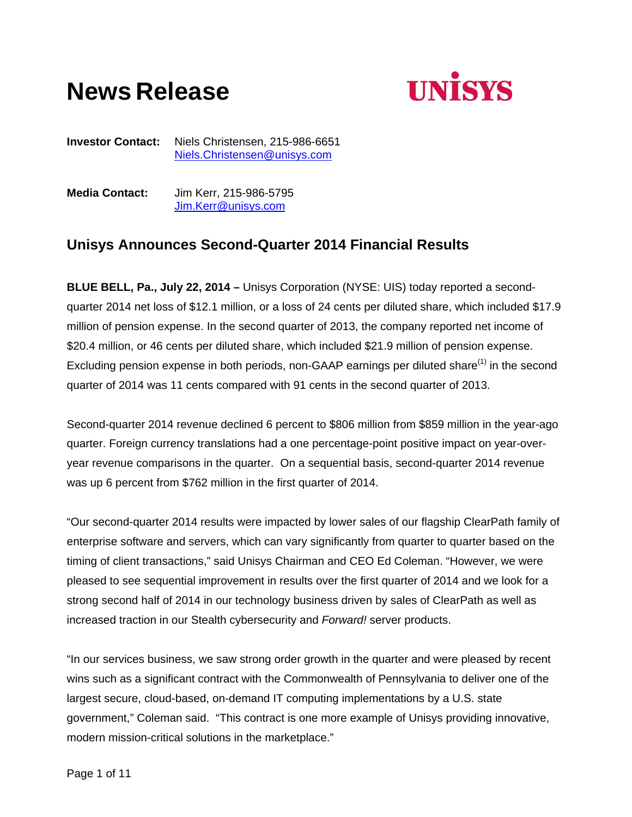# **News Release**



**Investor Contact:** Niels Christensen, 215-986-6651 Niels.Christensen@unisys.com

**Media Contact:** Jim Kerr, 215-986-5795 Jim.Kerr@unisys.com

# **Unisys Announces Second-Quarter 2014 Financial Results**

**BLUE BELL, Pa., July 22, 2014 –** Unisys Corporation (NYSE: UIS) today reported a secondquarter 2014 net loss of \$12.1 million, or a loss of 24 cents per diluted share, which included \$17.9 million of pension expense. In the second quarter of 2013, the company reported net income of \$20.4 million, or 46 cents per diluted share, which included \$21.9 million of pension expense. Excluding pension expense in both periods, non-GAAP earnings per diluted share<sup>(1)</sup> in the second quarter of 2014 was 11 cents compared with 91 cents in the second quarter of 2013.

Second-quarter 2014 revenue declined 6 percent to \$806 million from \$859 million in the year-ago quarter. Foreign currency translations had a one percentage-point positive impact on year-overyear revenue comparisons in the quarter. On a sequential basis, second-quarter 2014 revenue was up 6 percent from \$762 million in the first quarter of 2014.

"Our second-quarter 2014 results were impacted by lower sales of our flagship ClearPath family of enterprise software and servers, which can vary significantly from quarter to quarter based on the timing of client transactions," said Unisys Chairman and CEO Ed Coleman. "However, we were pleased to see sequential improvement in results over the first quarter of 2014 and we look for a strong second half of 2014 in our technology business driven by sales of ClearPath as well as increased traction in our Stealth cybersecurity and *Forward!* server products.

"In our services business, we saw strong order growth in the quarter and were pleased by recent wins such as a significant contract with the Commonwealth of Pennsylvania to deliver one of the largest secure, cloud-based, on-demand IT computing implementations by a U.S. state government," Coleman said. "This contract is one more example of Unisys providing innovative, modern mission-critical solutions in the marketplace."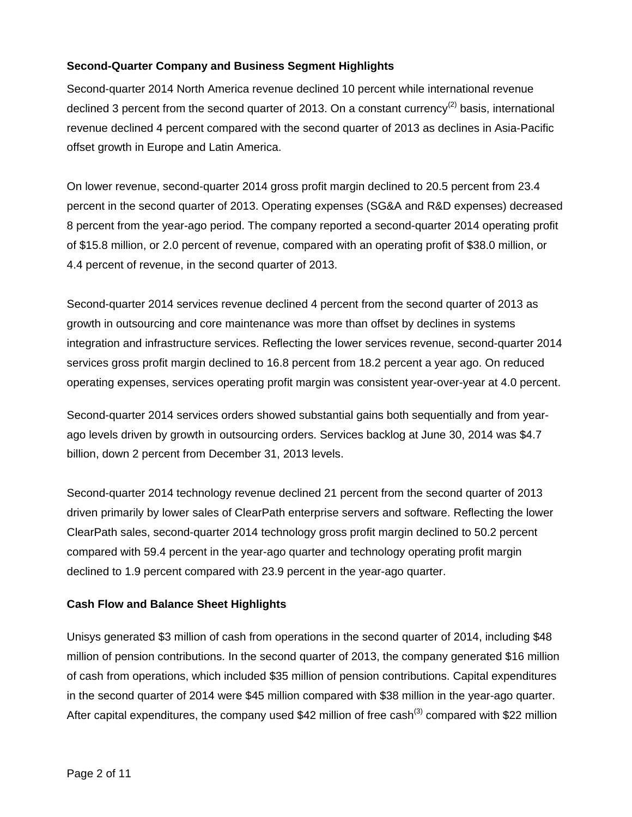# **Second-Quarter Company and Business Segment Highlights**

Second-quarter 2014 North America revenue declined 10 percent while international revenue declined 3 percent from the second quarter of 2013. On a constant currency<sup>(2)</sup> basis, international revenue declined 4 percent compared with the second quarter of 2013 as declines in Asia-Pacific offset growth in Europe and Latin America.

On lower revenue, second-quarter 2014 gross profit margin declined to 20.5 percent from 23.4 percent in the second quarter of 2013. Operating expenses (SG&A and R&D expenses) decreased 8 percent from the year-ago period. The company reported a second-quarter 2014 operating profit of \$15.8 million, or 2.0 percent of revenue, compared with an operating profit of \$38.0 million, or 4.4 percent of revenue, in the second quarter of 2013.

Second-quarter 2014 services revenue declined 4 percent from the second quarter of 2013 as growth in outsourcing and core maintenance was more than offset by declines in systems integration and infrastructure services. Reflecting the lower services revenue, second-quarter 2014 services gross profit margin declined to 16.8 percent from 18.2 percent a year ago. On reduced operating expenses, services operating profit margin was consistent year-over-year at 4.0 percent.

Second-quarter 2014 services orders showed substantial gains both sequentially and from yearago levels driven by growth in outsourcing orders. Services backlog at June 30, 2014 was \$4.7 billion, down 2 percent from December 31, 2013 levels.

Second-quarter 2014 technology revenue declined 21 percent from the second quarter of 2013 driven primarily by lower sales of ClearPath enterprise servers and software. Reflecting the lower ClearPath sales, second-quarter 2014 technology gross profit margin declined to 50.2 percent compared with 59.4 percent in the year-ago quarter and technology operating profit margin declined to 1.9 percent compared with 23.9 percent in the year-ago quarter.

# **Cash Flow and Balance Sheet Highlights**

Unisys generated \$3 million of cash from operations in the second quarter of 2014, including \$48 million of pension contributions. In the second quarter of 2013, the company generated \$16 million of cash from operations, which included \$35 million of pension contributions. Capital expenditures in the second quarter of 2014 were \$45 million compared with \$38 million in the year-ago quarter. After capital expenditures, the company used \$42 million of free cash<sup>(3)</sup> compared with \$22 million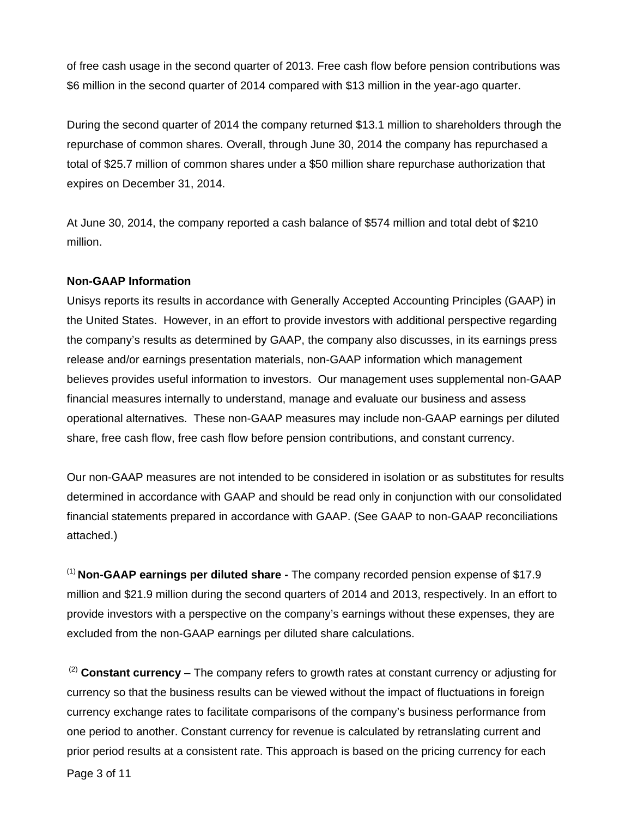of free cash usage in the second quarter of 2013. Free cash flow before pension contributions was \$6 million in the second quarter of 2014 compared with \$13 million in the year-ago quarter.

During the second quarter of 2014 the company returned \$13.1 million to shareholders through the repurchase of common shares. Overall, through June 30, 2014 the company has repurchased a total of \$25.7 million of common shares under a \$50 million share repurchase authorization that expires on December 31, 2014.

At June 30, 2014, the company reported a cash balance of \$574 million and total debt of \$210 million.

# **Non-GAAP Information**

Unisys reports its results in accordance with Generally Accepted Accounting Principles (GAAP) in the United States. However, in an effort to provide investors with additional perspective regarding the company's results as determined by GAAP, the company also discusses, in its earnings press release and/or earnings presentation materials, non-GAAP information which management believes provides useful information to investors. Our management uses supplemental non-GAAP financial measures internally to understand, manage and evaluate our business and assess operational alternatives. These non-GAAP measures may include non-GAAP earnings per diluted share, free cash flow, free cash flow before pension contributions, and constant currency.

Our non-GAAP measures are not intended to be considered in isolation or as substitutes for results determined in accordance with GAAP and should be read only in conjunction with our consolidated financial statements prepared in accordance with GAAP. (See GAAP to non-GAAP reconciliations attached.)

(1) **Non-GAAP earnings per diluted share -** The company recorded pension expense of \$17.9 million and \$21.9 million during the second quarters of 2014 and 2013, respectively. In an effort to provide investors with a perspective on the company's earnings without these expenses, they are excluded from the non-GAAP earnings per diluted share calculations.

 (2) **Constant currency** – The company refers to growth rates at constant currency or adjusting for currency so that the business results can be viewed without the impact of fluctuations in foreign currency exchange rates to facilitate comparisons of the company's business performance from one period to another. Constant currency for revenue is calculated by retranslating current and prior period results at a consistent rate. This approach is based on the pricing currency for each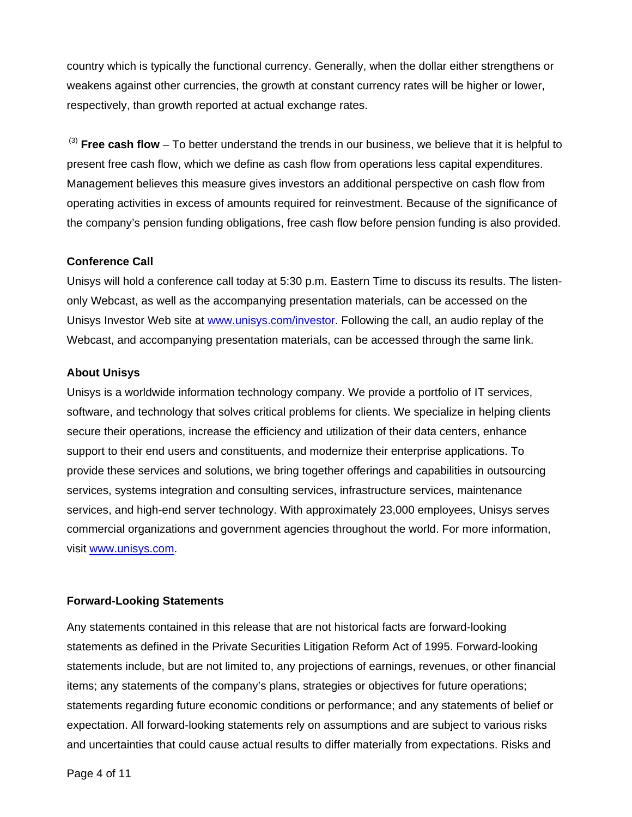country which is typically the functional currency. Generally, when the dollar either strengthens or weakens against other currencies, the growth at constant currency rates will be higher or lower, respectively, than growth reported at actual exchange rates.

 (3) **Free cash flow** – To better understand the trends in our business, we believe that it is helpful to present free cash flow, which we define as cash flow from operations less capital expenditures. Management believes this measure gives investors an additional perspective on cash flow from operating activities in excess of amounts required for reinvestment. Because of the significance of the company's pension funding obligations, free cash flow before pension funding is also provided.

### **Conference Call**

Unisys will hold a conference call today at 5:30 p.m. Eastern Time to discuss its results. The listenonly Webcast, as well as the accompanying presentation materials, can be accessed on the Unisys Investor Web site at www.unisys.com/investor. Following the call, an audio replay of the Webcast, and accompanying presentation materials, can be accessed through the same link.

# **About Unisys**

Unisys is a worldwide information technology company. We provide a portfolio of IT services, software, and technology that solves critical problems for clients. We specialize in helping clients secure their operations, increase the efficiency and utilization of their data centers, enhance support to their end users and constituents, and modernize their enterprise applications. To provide these services and solutions, we bring together offerings and capabilities in outsourcing services, systems integration and consulting services, infrastructure services, maintenance services, and high-end server technology. With approximately 23,000 employees, Unisys serves commercial organizations and government agencies throughout the world. For more information, visit www.unisys.com.

# **Forward-Looking Statements**

Any statements contained in this release that are not historical facts are forward-looking statements as defined in the Private Securities Litigation Reform Act of 1995. Forward-looking statements include, but are not limited to, any projections of earnings, revenues, or other financial items; any statements of the company's plans, strategies or objectives for future operations; statements regarding future economic conditions or performance; and any statements of belief or expectation. All forward-looking statements rely on assumptions and are subject to various risks and uncertainties that could cause actual results to differ materially from expectations. Risks and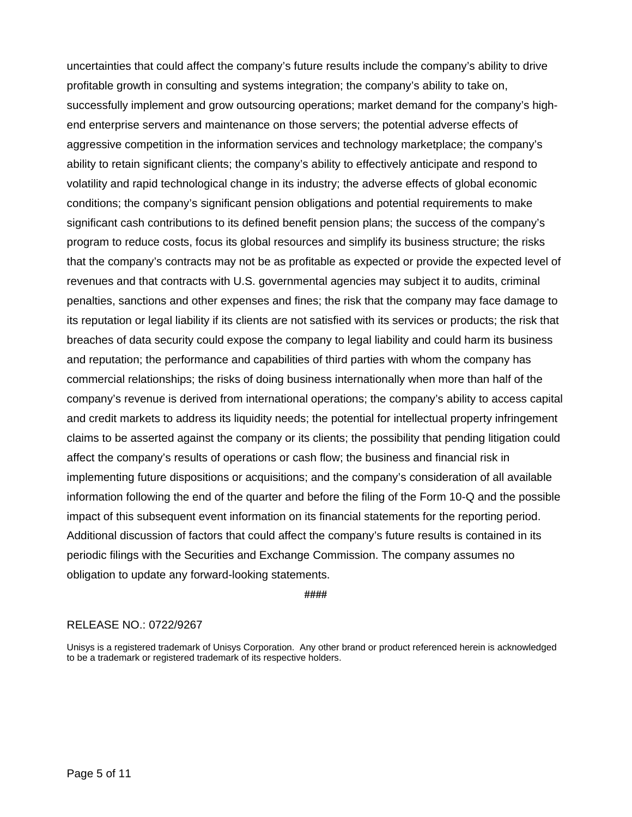uncertainties that could affect the company's future results include the company's ability to drive profitable growth in consulting and systems integration; the company's ability to take on, successfully implement and grow outsourcing operations; market demand for the company's highend enterprise servers and maintenance on those servers; the potential adverse effects of aggressive competition in the information services and technology marketplace; the company's ability to retain significant clients; the company's ability to effectively anticipate and respond to volatility and rapid technological change in its industry; the adverse effects of global economic conditions; the company's significant pension obligations and potential requirements to make significant cash contributions to its defined benefit pension plans; the success of the company's program to reduce costs, focus its global resources and simplify its business structure; the risks that the company's contracts may not be as profitable as expected or provide the expected level of revenues and that contracts with U.S. governmental agencies may subject it to audits, criminal penalties, sanctions and other expenses and fines; the risk that the company may face damage to its reputation or legal liability if its clients are not satisfied with its services or products; the risk that breaches of data security could expose the company to legal liability and could harm its business and reputation; the performance and capabilities of third parties with whom the company has commercial relationships; the risks of doing business internationally when more than half of the company's revenue is derived from international operations; the company's ability to access capital and credit markets to address its liquidity needs; the potential for intellectual property infringement claims to be asserted against the company or its clients; the possibility that pending litigation could affect the company's results of operations or cash flow; the business and financial risk in implementing future dispositions or acquisitions; and the company's consideration of all available information following the end of the quarter and before the filing of the Form 10-Q and the possible impact of this subsequent event information on its financial statements for the reporting period. Additional discussion of factors that could affect the company's future results is contained in its periodic filings with the Securities and Exchange Commission. The company assumes no obligation to update any forward-looking statements.

**####** 

### RELEASE NO.: 0722/9267

Unisys is a registered trademark of Unisys Corporation. Any other brand or product referenced herein is acknowledged to be a trademark or registered trademark of its respective holders.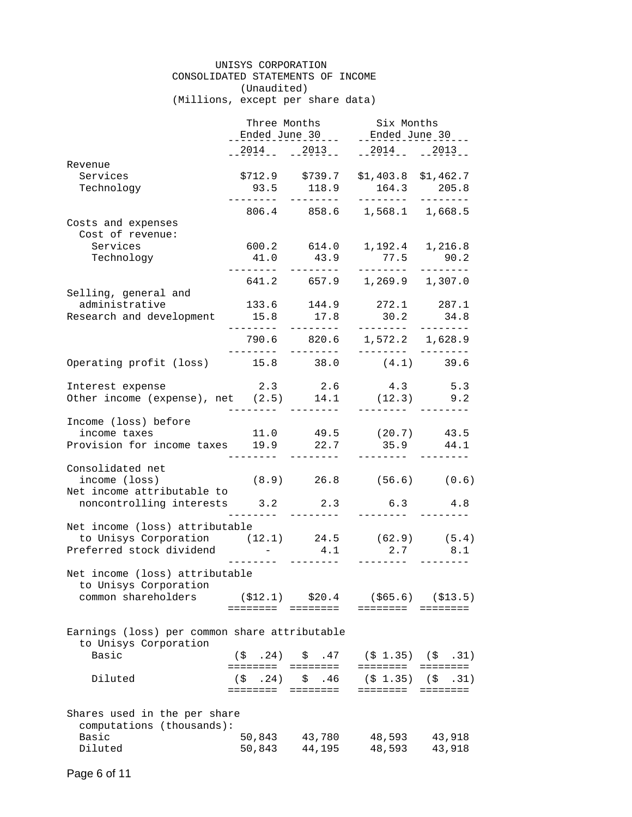#### UNISYS CORPORATION CONSOLIDATED STATEMENTS OF INCOME (Unaudited) (Millions, except per share data)

|                                                                                                                             | Three Months                                                        |                                              | Six Months                                            |                                                                   |
|-----------------------------------------------------------------------------------------------------------------------------|---------------------------------------------------------------------|----------------------------------------------|-------------------------------------------------------|-------------------------------------------------------------------|
|                                                                                                                             |                                                                     | Ended June $30$                              |                                                       | __Ended_June_30_.                                                 |
|                                                                                                                             | $2014$ $-2013$                                                      |                                              | $-2014$ $-2013$                                       |                                                                   |
| Revenue                                                                                                                     |                                                                     |                                              |                                                       |                                                                   |
| Services<br>Technology                                                                                                      | . <u>.</u> .                                                        | $$712.9$ $$739.7$<br>93.5 118.9<br>--------- | $$1,403.8$ $$1,462.7$<br>164.3<br>_________           | 205.8<br>________                                                 |
|                                                                                                                             |                                                                     |                                              | 806.4 858.6 1,568.1 1,668.5                           |                                                                   |
| Costs and expenses<br>Cost of revenue:                                                                                      |                                                                     |                                              |                                                       |                                                                   |
| Services<br>Technology                                                                                                      | .                                                                   | 41.0 43.9<br>---------                       | 600.2 614.0 1,192.4 1,216.8<br>77.5 90.2<br>--------- | --------                                                          |
| Selling, general and                                                                                                        |                                                                     |                                              | 641.2 657.9 1,269.9 1,307.0                           |                                                                   |
| administrative<br>Research and development                                                                                  | 15.8                                                                | 133.6 144.9<br>17.8                          | $272.1$ 287.1<br>30.2                                 | 34.8                                                              |
|                                                                                                                             | _________                                                           |                                              | <u>________</u><br>790.6 820.6 1,572.2 1,628.9        | --------                                                          |
| Operating profit (loss) 15.8 38.0 (4.1) 39.6                                                                                |                                                                     |                                              |                                                       |                                                                   |
| Interest expense<br>Other income (expense), net (2.5) 14.1                                                                  |                                                                     | 2.3 2.6<br>--------                          | $(12.3)$ 9.2<br>---------                             | 4.3 5.3                                                           |
| Income (loss) before<br>income taxes<br>Provision for income taxes 19.9 22.7                                                |                                                                     |                                              | $11.0$ $49.5$ $(20.7)$ $43.5$<br>$35.9$ $44.1$        |                                                                   |
|                                                                                                                             |                                                                     |                                              |                                                       |                                                                   |
| Consolidated net<br>income (loss) (8.9) 26.8 (56.6) (0.6)<br>Net income attributable to<br>noncontrolling interests 3.2 2.3 |                                                                     |                                              |                                                       |                                                                   |
|                                                                                                                             | $\frac{1}{2}$ and $\frac{1}{2}$ and $\frac{1}{2}$ and $\frac{1}{2}$ | ---------                                    | $6.3$ $4.8$<br>---------                              | --------                                                          |
| Net income (loss) attributable                                                                                              |                                                                     |                                              |                                                       |                                                                   |
| to Unisys Corporation $(12.1)$ 24.5 $(62.9)$ $(5.4)$<br>Preferred stock dividend                                            | .                                                                   |                                              | $4.1$ $2.7$ $8.1$<br>---------                        |                                                                   |
| Net income (loss) attributable                                                                                              |                                                                     |                                              |                                                       |                                                                   |
| to Unisys Corporation<br>common shareholders                                                                                | ( \$12.1)<br>========                                               | \$20.4<br>$=$ $=$ $=$ $=$ $=$ $=$ $=$        | ========                                              | $($ \$65.6) (\$13.5)<br>$=$ = = = = = = =                         |
| Earnings (loss) per common share attributable<br>to Unisys Corporation                                                      |                                                                     |                                              |                                                       |                                                                   |
| Basic                                                                                                                       | (5, 24)                                                             | \$.47                                        | $(\$ 1.35)$ $(\$ 0.31)$<br>========                   | <b>EEEEEEEE</b>                                                   |
| Diluted                                                                                                                     | .24)<br>(\$                                                         |                                              | $$.46$ (\$1.35) (\$<br>========                       | .31)<br>$\equiv \equiv \equiv \equiv \equiv \equiv \equiv \equiv$ |
| Shares used in the per share                                                                                                |                                                                     |                                              |                                                       |                                                                   |
| computations (thousands):                                                                                                   |                                                                     |                                              |                                                       |                                                                   |
| Basic<br>Diluted                                                                                                            | 50,843<br>50,843                                                    | 43,780<br>44,195                             | 48,593<br>48,593                                      | 43,918<br>43,918                                                  |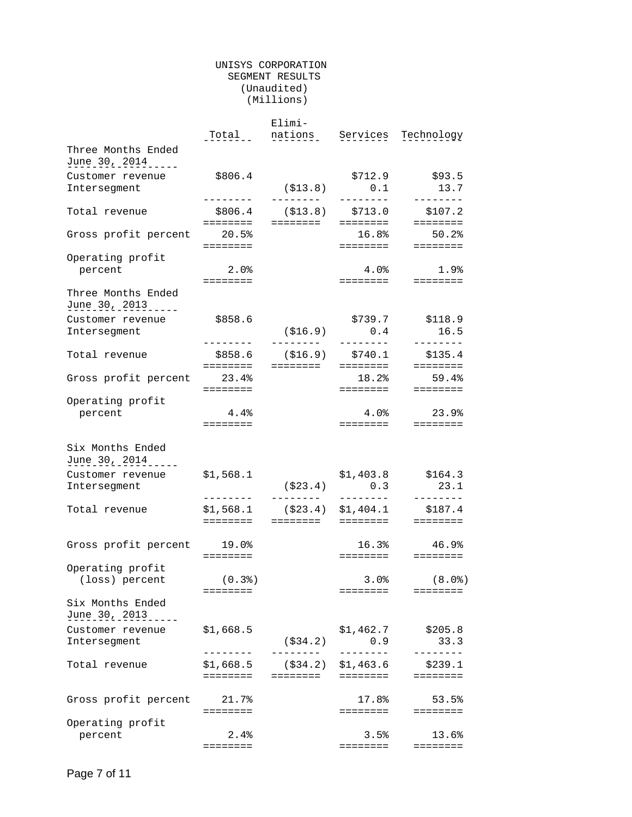#### UNISYS CORPORATION SEGMENT RESULTS (Unaudited) (Millions)

|                                           |                            | Elimi-                 |                     |                     |
|-------------------------------------------|----------------------------|------------------------|---------------------|---------------------|
|                                           | Total                      | nations                |                     | Services Technology |
| Three Months Ended<br>June 30, 2014       |                            |                        |                     |                     |
|                                           |                            |                        |                     |                     |
| Customer revenue                          | \$806.4                    |                        | \$712.9             | \$93.5              |
| Intersegment                              |                            | ( \$13.8)              | 0.1                 | 13.7                |
| Total revenue                             | ________<br>\$806.4        | --------<br>(S13.8)    | --------<br>\$713.0 | --------<br>\$107.2 |
|                                           | ========                   | ========               | ========            | ========            |
| Gross profit percent                      | 20.5%                      |                        | 16.8%               | $50.2$ $%$          |
|                                           | ========                   |                        | ========            | <b>EEEEEEEE</b>     |
| Operating profit                          |                            |                        |                     |                     |
| percent                                   | 2.0%                       |                        | $4.0\%$             | 1.9%                |
|                                           | $=$ = = = = = = =          |                        | ========            | $= = = = = = = = =$ |
| Three Months Ended<br>June 30, 2013 _____ |                            |                        |                     |                     |
| Customer revenue                          | \$858.6                    |                        | \$739.7             | \$118.9             |
| Interseqment                              |                            | ( \$16.9)              | 0.4                 | 16.5                |
|                                           | ---------                  | ---------              | --------            | --------            |
| Total revenue                             | \$858.6                    | (\$16.9)<br>========   | \$740.1<br>======== | \$135.4<br>======== |
|                                           | ========                   |                        |                     |                     |
| Gross profit percent                      | 23.4%<br>$=$ = = = = = = = |                        | 18.2%<br>========   | 59.4%<br>========   |
| Operating profit                          |                            |                        |                     |                     |
| percent                                   | 4.4%                       |                        |                     | $4.0\%$ 23.9%       |
|                                           | ========                   |                        |                     | ========  ========  |
| Six Months Ended<br>June 30, 2014         |                            |                        |                     |                     |
| Customer revenue                          | \$1,568.1                  |                        | \$1,403.8           | \$164.3             |
| Intersegment                              |                            | ( \$23.4)              | 0.3                 | 23.1                |
|                                           | --------                   | ---------              | --------            | --------            |
| Total revenue                             | \$1,568.1                  | ( \$23.4)              | \$1,404.1           | \$187.4             |
|                                           | ========                   | ========               | ========            | <b>EEEEEEEE</b>     |
|                                           |                            |                        |                     |                     |
| Gross profit percent 19.0%                | ========                   |                        | 16.3%<br>========   | 46.9%<br>========   |
| Operating profit                          |                            |                        |                     |                     |
| (loss) percent                            | (0.3)                      |                        | 3.0%                | (8.0)               |
|                                           | ========                   |                        | ========            | $=$ = = = = = = =   |
| Six Months Ended<br>June 30, 2013         |                            |                        |                     |                     |
|                                           |                            |                        |                     |                     |
| Customer revenue                          | \$1,668.5                  |                        | \$1,462.7           | \$205.8             |
| Intersegment                              |                            | ( \$34.2)<br>--------- | 0.9                 | 33.3                |
|                                           |                            |                        | $- - - - - - -$     |                     |
| Total revenue                             | \$1,668.5                  | ( \$34.2)              | \$1,463.6           | \$239.1             |
|                                           | ========                   | ========               | ========            | ========            |
|                                           |                            |                        | 17.8%               |                     |
| Gross profit percent 21.7%                |                            |                        |                     | 53.5%               |
|                                           | ========                   |                        | ========            | $= = = = = = = = =$ |
| Operating profit                          |                            |                        |                     |                     |
| percent                                   | 2.4%                       |                        | 3.5%                | 13.6%               |
|                                           | ========                   |                        | ========            | $=$ = = = = = = =   |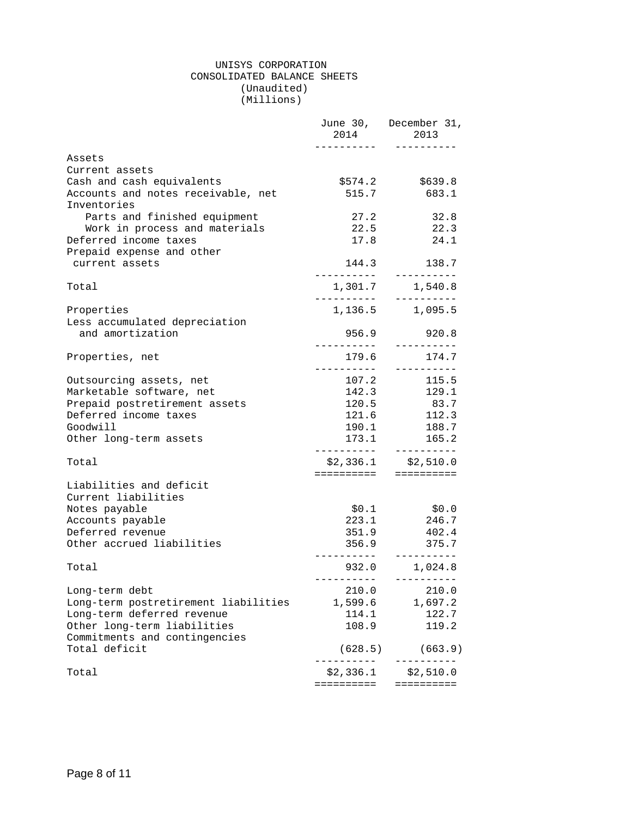#### UNISYS CORPORATION CONSOLIDATED BALANCE SHEETS (Unaudited) (Millions)

|                                                   | 2014                      | June 30, December 31,<br>2013                   |
|---------------------------------------------------|---------------------------|-------------------------------------------------|
| Assets                                            |                           |                                                 |
| Current assets                                    |                           |                                                 |
| Cash and cash equivalents                         | \$574.2                   | \$639.8                                         |
| Accounts and notes receivable, net<br>Inventories | 515.7                     | 683.1                                           |
| Parts and finished equipment                      | 27.2                      | 32.8                                            |
| Work in process and materials                     |                           | 22.5 22.3                                       |
| Deferred income taxes                             | 17.8                      | 24.1                                            |
| Prepaid expense and other                         |                           |                                                 |
| current assets                                    |                           | 144.3 138.7                                     |
| Total                                             | -----------<br>__________ | ----------<br>1,301.7 1,540.8<br>----------     |
| Properties                                        |                           | 1, 136.5 1, 095.5                               |
| Less accumulated depreciation                     |                           |                                                 |
| and amortization                                  | 956.9                     | 920.8                                           |
| Properties, net                                   | 179.6                     | 174.7                                           |
| Outsourcing assets, net                           | 107.2                     | 115.5                                           |
| Marketable software, net                          | 142.3                     | 129.1                                           |
| Prepaid postretirement assets                     | 120.5                     | 83.7                                            |
| Deferred income taxes                             | 121.6                     | 112.3                                           |
| Goodwill                                          | 190.1                     | 188.7                                           |
| Other long-term assets                            |                           | 173.1    165.2<br>----------                    |
| Total                                             |                           | $$2,336.1$ $$2,510.0$<br>==========  ========== |
| Liabilities and deficit                           |                           |                                                 |
| Current liabilities                               |                           |                                                 |
| Notes payable                                     | \$0.1                     | \$0.0                                           |
| Accounts payable                                  | 223.1                     | 246.7                                           |
| Deferred revenue                                  | 351.9                     | 402.4                                           |
| Other accrued liabilities                         | 356.9                     | 375.7                                           |
| Total                                             | .                         | 932.0 1,024.8<br>----------                     |
| Long-term debt                                    | 210.0                     | 210.0                                           |
| Long-term postretirement liabilities              | 1,599.6                   | 1,697.2                                         |
| Long-term deferred revenue                        | 114.1                     | 122.7                                           |
| Other long-term liabilities                       | 108.9                     | 119.2                                           |
| Commitments and contingencies                     |                           |                                                 |
| Total deficit                                     | (628.5)<br>. <u>.</u> .   | (663.9)                                         |
| Total                                             | \$2,336.1<br>==========   | \$2,510.0<br>==========                         |
|                                                   |                           |                                                 |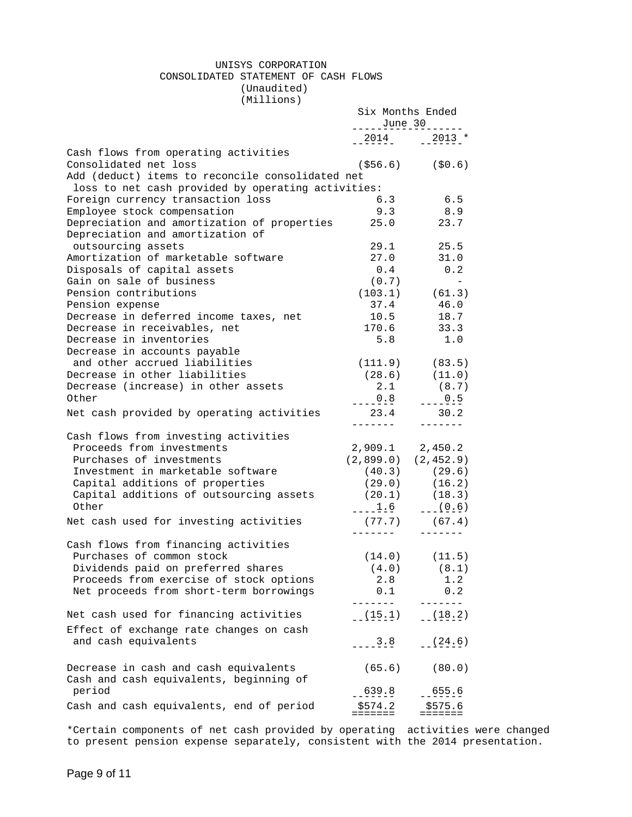#### UNISYS CORPORATION CONSOLIDATED STATEMENT OF CASH FLOWS (Unaudited)

(Millions)

|                                                    | Six Months Ended                                                                                                                                                                                                                                                                                            |                      |
|----------------------------------------------------|-------------------------------------------------------------------------------------------------------------------------------------------------------------------------------------------------------------------------------------------------------------------------------------------------------------|----------------------|
|                                                    | $\frac{June}{2}$ = $\frac{30}{2}$ = $\frac{1}{2}$ = $\frac{1}{2}$ = $\frac{1}{2}$ = $\frac{1}{2}$ = $\frac{1}{2}$ = $\frac{1}{2}$ = $\frac{1}{2}$ = $\frac{1}{2}$ = $\frac{1}{2}$ = $\frac{1}{2}$ = $\frac{1}{2}$ = $\frac{1}{2}$ = $\frac{1}{2}$ = $\frac{1}{2}$ = $\frac{1}{2}$ = $\frac{1}{2}$ = $\frac$ |                      |
|                                                    | $-2014$ $-2013$ *                                                                                                                                                                                                                                                                                           |                      |
| Cash flows from operating activities               |                                                                                                                                                                                                                                                                                                             |                      |
| Consolidated net loss                              |                                                                                                                                                                                                                                                                                                             | $( $56.6)$ $( $0.6)$ |
| Add (deduct) items to reconcile consolidated net   |                                                                                                                                                                                                                                                                                                             |                      |
| loss to net cash provided by operating activities: |                                                                                                                                                                                                                                                                                                             |                      |
| Foreign currency transaction loss                  | 6.3                                                                                                                                                                                                                                                                                                         | 6.5                  |
| Employee stock compensation                        | 9.3                                                                                                                                                                                                                                                                                                         | 8.9                  |
| Depreciation and amortization of properties        | 25.0                                                                                                                                                                                                                                                                                                        | 23.7                 |
| Depreciation and amortization of                   |                                                                                                                                                                                                                                                                                                             |                      |
| outsourcing assets                                 | 29.1                                                                                                                                                                                                                                                                                                        | 25.5                 |
| Amortization of marketable software                | 27.0                                                                                                                                                                                                                                                                                                        | 31.0                 |
| Disposals of capital assets                        | 0.4                                                                                                                                                                                                                                                                                                         | 0.2                  |
| Gain on sale of business                           | (0.7)                                                                                                                                                                                                                                                                                                       |                      |
| Pension contributions                              |                                                                                                                                                                                                                                                                                                             | $(103.1)$ $(61.3)$   |
| Pension expense                                    | 37.4                                                                                                                                                                                                                                                                                                        | 46.0                 |
| Decrease in deferred income taxes, net             | 10.5                                                                                                                                                                                                                                                                                                        | 18.7                 |
| Decrease in receivables, net                       | 170.6                                                                                                                                                                                                                                                                                                       | 33.3                 |
| Decrease in inventories                            | 5.8                                                                                                                                                                                                                                                                                                         | 1.0                  |
| Decrease in accounts payable                       |                                                                                                                                                                                                                                                                                                             |                      |
| and other accrued liabilities                      |                                                                                                                                                                                                                                                                                                             | $(111.9)$ $(83.5)$   |
| Decrease in other liabilities                      |                                                                                                                                                                                                                                                                                                             | $(28.6)$ $(11.0)$    |
| Decrease (increase) in other assets                |                                                                                                                                                                                                                                                                                                             | $2.1$ (8.7)          |
| Other                                              |                                                                                                                                                                                                                                                                                                             |                      |
| Net cash provided by operating activities          | 23.4 30.2                                                                                                                                                                                                                                                                                                   |                      |
|                                                    | --------                                                                                                                                                                                                                                                                                                    | $- - - - - - -$      |
| Cash flows from investing activities               |                                                                                                                                                                                                                                                                                                             |                      |
| Proceeds from investments                          | 2,909.1 2,450.2                                                                                                                                                                                                                                                                                             |                      |
| Purchases of investments                           | $(2,899.0)$ $(2,452.9)$                                                                                                                                                                                                                                                                                     |                      |
| Investment in marketable software                  |                                                                                                                                                                                                                                                                                                             | $(40.3)$ $(29.6)$    |
| Capital additions of properties                    |                                                                                                                                                                                                                                                                                                             | $(29.0)$ $(16.2)$    |
| Capital additions of outsourcing assets            |                                                                                                                                                                                                                                                                                                             |                      |
| Other                                              | $(20.1)$ $(18.3)$<br>---1.6 $(0.6)$                                                                                                                                                                                                                                                                         |                      |
| Net cash used for investing activities             |                                                                                                                                                                                                                                                                                                             | $(77.7)$ (67.4)      |
|                                                    |                                                                                                                                                                                                                                                                                                             |                      |
| Cash flows from financing activities               |                                                                                                                                                                                                                                                                                                             |                      |
| Purchases of common stock                          |                                                                                                                                                                                                                                                                                                             | $(14.0)$ $(11.5)$    |
| Dividends paid on preferred shares                 |                                                                                                                                                                                                                                                                                                             | $(4.0)$ $(8.1)$      |
| Proceeds from exercise of stock options            | 2.8                                                                                                                                                                                                                                                                                                         | 1.2                  |
| Net proceeds from short-term borrowings            | 0.1                                                                                                                                                                                                                                                                                                         | 0.2                  |
| Net cash used for financing activities             | $- - - - -$                                                                                                                                                                                                                                                                                                 |                      |
|                                                    | $(-15.1)$                                                                                                                                                                                                                                                                                                   | $(-18.2)$            |
| Effect of exchange rate changes on cash            |                                                                                                                                                                                                                                                                                                             |                      |
| and cash equivalents                               | $-3.8$                                                                                                                                                                                                                                                                                                      | $-(-24.6)$           |
| Decrease in cash and cash equivalents              | (65.6)                                                                                                                                                                                                                                                                                                      | (80.0)               |
| Cash and cash equivalents, beginning of            |                                                                                                                                                                                                                                                                                                             |                      |
| period                                             | 639.8                                                                                                                                                                                                                                                                                                       | 655.6                |
| Cash and cash equivalents, end of period           | \$574.2                                                                                                                                                                                                                                                                                                     | \$575.6              |
|                                                    |                                                                                                                                                                                                                                                                                                             |                      |

\*Certain components of net cash provided by operating activities were changed to present pension expense separately, consistent with the 2014 presentation.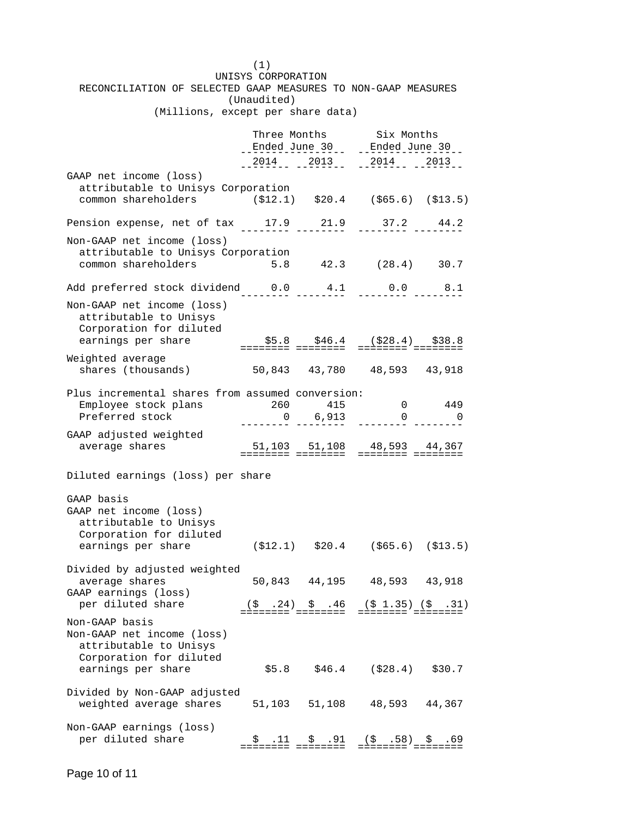(1) UNISYS CORPORATION RECONCILIATION OF SELECTED GAAP MEASURES TO NON-GAAP MEASURES (Unaudited) (Millions, except per share data) Three Months Six Months Ended June 30 Ended June 30 ----------------- -----------------  $-2014$   $-2013$   $-2013$   $-2014$   $-2013$ GAAP net income (loss) attributable to Unisys Corporation common shareholders (\$12.1) \$20.4 (\$65.6) (\$13.5) Pension expense, net of tax 17.9 21.9 37.2 44.2 -------- -------- -------- -------- Non-GAAP net income (loss) attributable to Unisys Corporation common shareholders 5.8 42.3 (28.4) 30.7 Add preferred stock dividend 0.0 4.1 0.0 8.1 -------- -------- -------- -------- Non-GAAP net income (loss) attributable to Unisys Corporation for diluted earnings per share \$5.8 \$46.4 (\$28.4) \$38.8 ======== ======== ======== ======== Weighted average shares (thousands) 50,843 43,780 48,593 43,918 Plus incremental shares from assumed conversion: Employee stock plans  $260$  415 0 449 Preferred stock  $0 \qquad 6,913 \qquad 0 \qquad 0$ GAAP adjusted weighted average shares 51,103 51,108 48,593 44,367 ======== ======== ======== ======== Diluted earnings (loss) per share GAAP basis GAAP net income (loss) attributable to Unisys Corporation for diluted earnings per share (\$12.1) \$20.4 (\$65.6) (\$13.5) Divided by adjusted weighted average shares 50,843 44,195 48,593 43,918 GAAP earnings (loss) per diluted share (\$ .24) \$ .46 (\$ 1.35) (\$ .31) ======== ======== ======== ======== Non-GAAP basis Non-GAAP net income (loss) attributable to Unisys Corporation for diluted earnings per share  $$5.8$  \$46.4 (\$28.4) \$30.7 Divided by Non-GAAP adjusted weighted average shares 51,103 51,108 48,593 44,367 Non-GAAP earnings (loss) per diluted share \$ .11 \$ .91 (\$ .58) \$ .69 ======== ======== ======== ========